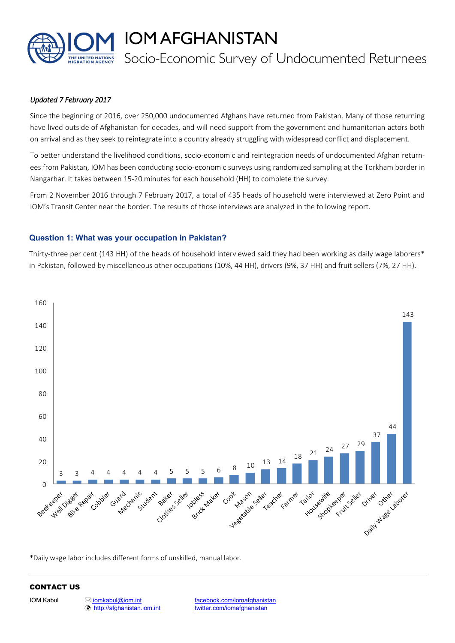

IOM AFGHANISTAN

# Socio-Economic Survey of Undocumented Returnees

## *Updated 7 February 2017*

Since the beginning of 2016, over 250,000 undocumented Afghans have returned from Pakistan. Many of those returning have lived outside of Afghanistan for decades, and will need support from the government and humanitarian actors both on arrival and as they seek to reintegrate into a country already struggling with widespread conflict and displacement.

To better understand the livelihood conditions, socio-economic and reintegration needs of undocumented Afghan returnees from Pakistan, IOM has been conducting socio-economic surveys using randomized sampling at the Torkham border in Nangarhar. It takes between 15-20 minutes for each household (HH) to complete the survey.

From 2 November 2016 through 7 February 2017, a total of 435 heads of household were interviewed at Zero Point and IOM's Transit Center near the border. The results of those interviews are analyzed in the following report.

## **Question 1: What was your occupation in Pakistan?**

Thirty-three per cent (143 HH) of the heads of household interviewed said they had been working as daily wage laborers\* in Pakistan, followed by miscellaneous other occupations (10%, 44 HH), drivers (9%, 37 HH) and fruit sellers (7%, 27 HH).



\*Daily wage labor includes different forms of unskilled, manual labor.

## CONTACT US

<http://afghanistan.iom.int> [twitter.com/iomafghanistan](http://www.twitter.com/iomafghanistan)

IOM Kabul **[iomkabul@iom.int](mailto:iomkabul@iom.int)** [facebook.com/iomafghanistan](http://www.facebook.com/iomafghanistan)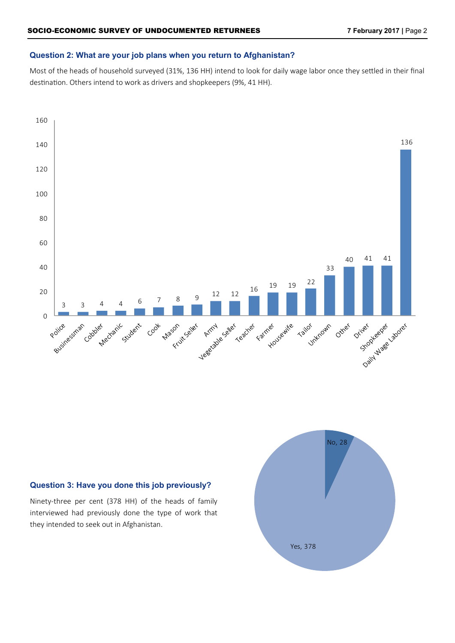## **Question 2: What are your job plans when you return to Afghanistan?**

Most of the heads of household surveyed (31%, 136 HH) intend to look for daily wage labor once they settled in their final destination. Others intend to work as drivers and shopkeepers (9%, 41 HH).



## **Question 3: Have you done this job previously?**

Ninety-three per cent (378 HH) of the heads of family interviewed had previously done the type of work that they intended to seek out in Afghanistan.

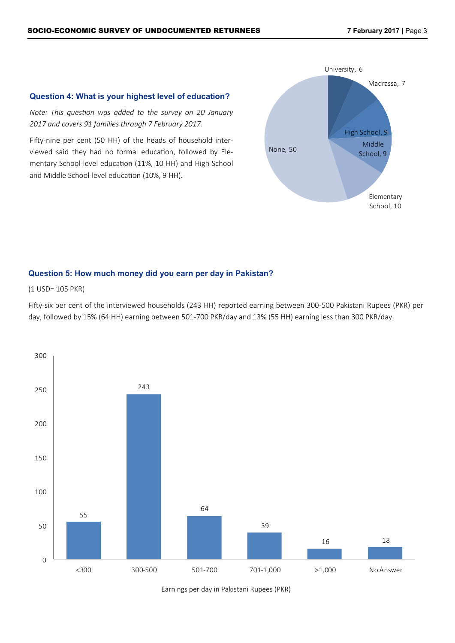## **Question 4: What is your highest level of education?**

*Note: This question was added to the survey on 20 January 2017 and covers 91 families through 7 February 2017.*

Fifty-nine per cent (50 HH) of the heads of household interviewed said they had no formal education, followed by Elementary School-level education (11%, 10 HH) and High School and Middle School-level education (10%, 9 HH).



## **Question 5: How much money did you earn per day in Pakistan?**

(1 USD= 105 PKR)

Fifty-six per cent of the interviewed households (243 HH) reported earning between 300-500 Pakistani Rupees (PKR) per day, followed by 15% (64 HH) earning between 501-700 PKR/day and 13% (55 HH) earning less than 300 PKR/day.



Earnings per day in Pakistani Rupees (PKR)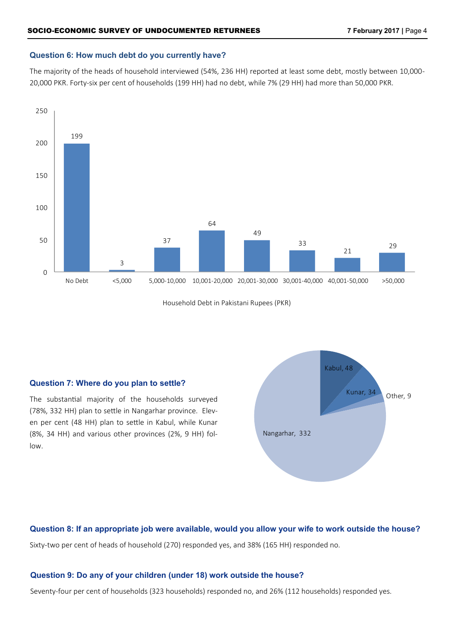#### **Question 6: How much debt do you currently have?**

The majority of the heads of household interviewed (54%, 236 HH) reported at least some debt, mostly between 10,000- 20,000 PKR. Forty-six per cent of households (199 HH) had no debt, while 7% (29 HH) had more than 50,000 PKR.



Household Debt in Pakistani Rupees (PKR)

## **Question 7: Where do you plan to settle?**

The substantial majority of the households surveyed (78%, 332 HH) plan to settle in Nangarhar province. Eleven per cent (48 HH) plan to settle in Kabul, while Kunar (8%, 34 HH) and various other provinces (2%, 9 HH) follow.



**Question 8: If an appropriate job were available, would you allow your wife to work outside the house?** Sixty-two per cent of heads of household (270) responded yes, and 38% (165 HH) responded no.

## **Question 9: Do any of your children (under 18) work outside the house?**

Seventy-four per cent of households (323 households) responded no, and 26% (112 households) responded yes.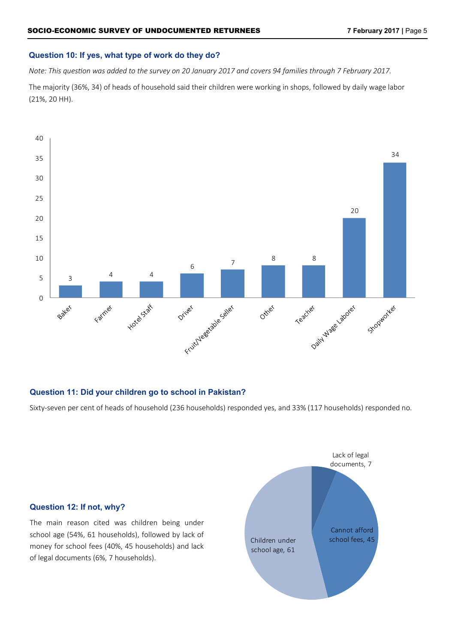## **Question 10: If yes, what type of work do they do?**

*Note: This question was added to the survey on 20 January 2017 and covers 94 families through 7 February 2017.*

The majority (36%, 34) of heads of household said their children were working in shops, followed by daily wage labor (21%, 20 HH).



#### **Question 11: Did your children go to school in Pakistan?**

Sixty-seven per cent of heads of household (236 households) responded yes, and 33% (117 households) responded no.

## **Question 12: If not, why?**

The main reason cited was children being under school age (54%, 61 households), followed by lack of money for school fees (40%, 45 households) and lack of legal documents (6%, 7 households).